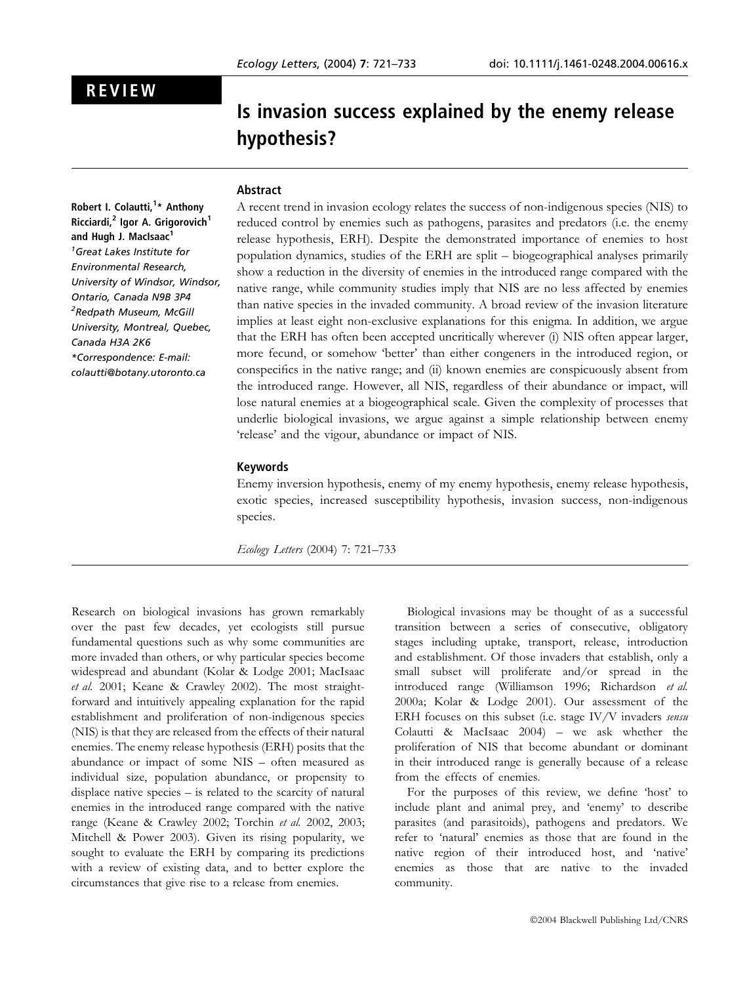## REVIEW

# Is invasion success explained by the enemy release hypothesis?

## Abstract

Robert I. Colautti,<sup>1</sup>\* Anthony Ricciardi,<sup>2</sup> Igor A. Grigorovich<sup>1</sup> and Hugh J. MacIsaac<sup>1</sup> 1 Great Lakes Institute for Environmental Research, University of Windsor, Windsor, Ontario, Canada N9B 3P4 <sup>2</sup>Redpath Museum, McGill University, Montreal, Quebec, Canada H3A 2K6 \*Correspondence: E-mail: colautti@botany.utoronto.ca

A recent trend in invasion ecology relates the success of non-indigenous species (NIS) to reduced control by enemies such as pathogens, parasites and predators (i.e. the enemy release hypothesis, ERH). Despite the demonstrated importance of enemies to host population dynamics, studies of the ERH are split – biogeographical analyses primarily show a reduction in the diversity of enemies in the introduced range compared with the native range, while community studies imply that NIS are no less affected by enemies than native species in the invaded community. A broad review of the invasion literature implies at least eight non-exclusive explanations for this enigma. In addition, we argue that the ERH has often been accepted uncritically wherever (i) NIS often appear larger, more fecund, or somehow 'better' than either congeners in the introduced region, or conspecifics in the native range; and (ii) known enemies are conspicuously absent from the introduced range. However, all NIS, regardless of their abundance or impact, will lose natural enemies at a biogeographical scale. Given the complexity of processes that underlie biological invasions, we argue against a simple relationship between enemy 'release' and the vigour, abundance or impact of NIS.

## Keywords

Enemy inversion hypothesis, enemy of my enemy hypothesis, enemy release hypothesis, exotic species, increased susceptibility hypothesis, invasion success, non-indigenous species.

Ecology Letters (2004) 7: 721–733

Research on biological invasions has grown remarkably over the past few decades, yet ecologists still pursue fundamental questions such as why some communities are more invaded than others, or why particular species become widespread and abundant (Kolar & Lodge 2001; MacIsaac et al. 2001; Keane & Crawley 2002). The most straightforward and intuitively appealing explanation for the rapid establishment and proliferation of non-indigenous species (NIS) is that they are released from the effects of their natural enemies. The enemy release hypothesis (ERH) posits that the abundance or impact of some NIS – often measured as individual size, population abundance, or propensity to displace native species – is related to the scarcity of natural enemies in the introduced range compared with the native range (Keane & Crawley 2002; Torchin et al. 2002, 2003; Mitchell & Power 2003). Given its rising popularity, we sought to evaluate the ERH by comparing its predictions with a review of existing data, and to better explore the circumstances that give rise to a release from enemies.

Biological invasions may be thought of as a successful transition between a series of consecutive, obligatory stages including uptake, transport, release, introduction and establishment. Of those invaders that establish, only a small subset will proliferate and/or spread in the introduced range (Williamson 1996; Richardson et al. 2000a; Kolar & Lodge 2001). Our assessment of the ERH focuses on this subset (i.e. stage IV/V invaders sensu Colautti & MacIsaac 2004) – we ask whether the proliferation of NIS that become abundant or dominant in their introduced range is generally because of a release from the effects of enemies.

For the purposes of this review, we define 'host' to include plant and animal prey, and 'enemy' to describe parasites (and parasitoids), pathogens and predators. We refer to 'natural' enemies as those that are found in the native region of their introduced host, and 'native' enemies as those that are native to the invaded community.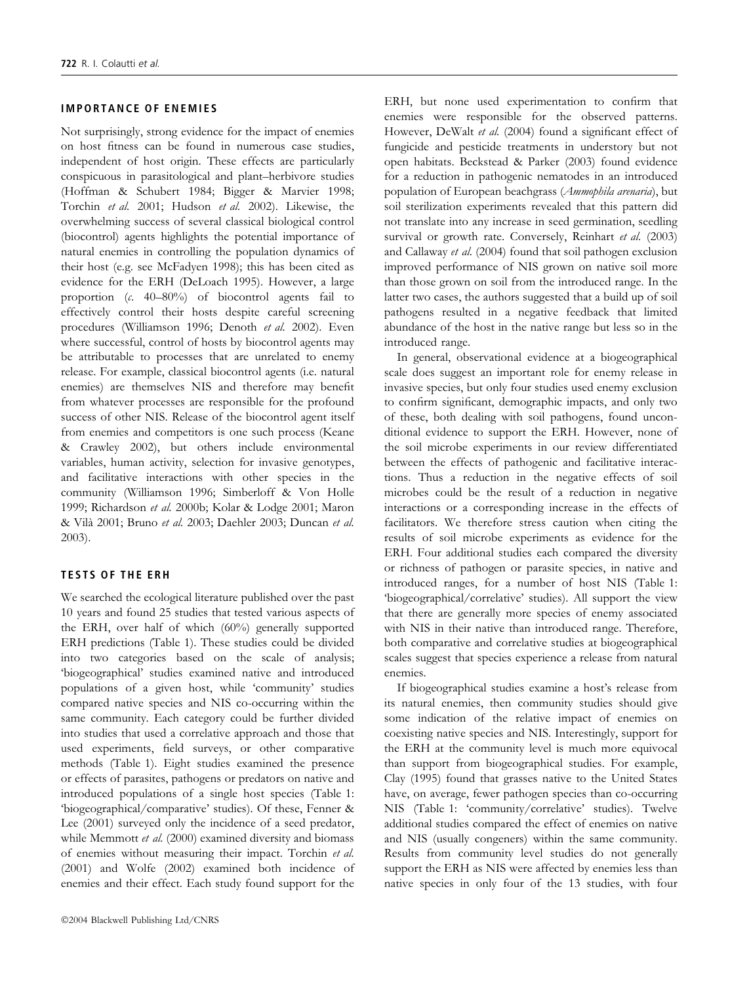#### IMPORTANCE OF ENEMIES

Not surprisingly, strong evidence for the impact of enemies on host fitness can be found in numerous case studies, independent of host origin. These effects are particularly conspicuous in parasitological and plant–herbivore studies (Hoffman & Schubert 1984; Bigger & Marvier 1998; Torchin et al. 2001; Hudson et al. 2002). Likewise, the overwhelming success of several classical biological control (biocontrol) agents highlights the potential importance of natural enemies in controlling the population dynamics of their host (e.g. see McFadyen 1998); this has been cited as evidence for the ERH (DeLoach 1995). However, a large proportion (c. 40–80%) of biocontrol agents fail to effectively control their hosts despite careful screening procedures (Williamson 1996; Denoth et al. 2002). Even where successful, control of hosts by biocontrol agents may be attributable to processes that are unrelated to enemy release. For example, classical biocontrol agents (i.e. natural enemies) are themselves NIS and therefore may benefit from whatever processes are responsible for the profound success of other NIS. Release of the biocontrol agent itself from enemies and competitors is one such process (Keane & Crawley 2002), but others include environmental variables, human activity, selection for invasive genotypes, and facilitative interactions with other species in the community (Williamson 1996; Simberloff & Von Holle 1999; Richardson et al. 2000b; Kolar & Lodge 2001; Maron & Vilà 2001; Bruno et al. 2003; Daehler 2003; Duncan et al. 2003).

## TESTS OF THE ERH

We searched the ecological literature published over the past 10 years and found 25 studies that tested various aspects of the ERH, over half of which (60%) generally supported ERH predictions (Table 1). These studies could be divided into two categories based on the scale of analysis; 'biogeographical' studies examined native and introduced populations of a given host, while 'community' studies compared native species and NIS co-occurring within the same community. Each category could be further divided into studies that used a correlative approach and those that used experiments, field surveys, or other comparative methods (Table 1). Eight studies examined the presence or effects of parasites, pathogens or predators on native and introduced populations of a single host species (Table 1: 'biogeographical/comparative' studies). Of these, Fenner & Lee (2001) surveyed only the incidence of a seed predator, while Memmott et al. (2000) examined diversity and biomass of enemies without measuring their impact. Torchin et al. (2001) and Wolfe (2002) examined both incidence of enemies and their effect. Each study found support for the

ERH, but none used experimentation to confirm that enemies were responsible for the observed patterns. However, DeWalt et al. (2004) found a significant effect of fungicide and pesticide treatments in understory but not open habitats. Beckstead & Parker (2003) found evidence for a reduction in pathogenic nematodes in an introduced population of European beachgrass (Ammophila arenaria), but soil sterilization experiments revealed that this pattern did not translate into any increase in seed germination, seedling survival or growth rate. Conversely, Reinhart et al. (2003) and Callaway et al. (2004) found that soil pathogen exclusion improved performance of NIS grown on native soil more than those grown on soil from the introduced range. In the latter two cases, the authors suggested that a build up of soil pathogens resulted in a negative feedback that limited abundance of the host in the native range but less so in the introduced range.

In general, observational evidence at a biogeographical scale does suggest an important role for enemy release in invasive species, but only four studies used enemy exclusion to confirm significant, demographic impacts, and only two of these, both dealing with soil pathogens, found unconditional evidence to support the ERH. However, none of the soil microbe experiments in our review differentiated between the effects of pathogenic and facilitative interactions. Thus a reduction in the negative effects of soil microbes could be the result of a reduction in negative interactions or a corresponding increase in the effects of facilitators. We therefore stress caution when citing the results of soil microbe experiments as evidence for the ERH. Four additional studies each compared the diversity or richness of pathogen or parasite species, in native and introduced ranges, for a number of host NIS (Table 1: 'biogeographical/correlative' studies). All support the view that there are generally more species of enemy associated with NIS in their native than introduced range. Therefore, both comparative and correlative studies at biogeographical scales suggest that species experience a release from natural enemies.

If biogeographical studies examine a host's release from its natural enemies, then community studies should give some indication of the relative impact of enemies on coexisting native species and NIS. Interestingly, support for the ERH at the community level is much more equivocal than support from biogeographical studies. For example, Clay (1995) found that grasses native to the United States have, on average, fewer pathogen species than co-occurring NIS (Table 1: 'community/correlative' studies). Twelve additional studies compared the effect of enemies on native and NIS (usually congeners) within the same community. Results from community level studies do not generally support the ERH as NIS were affected by enemies less than native species in only four of the 13 studies, with four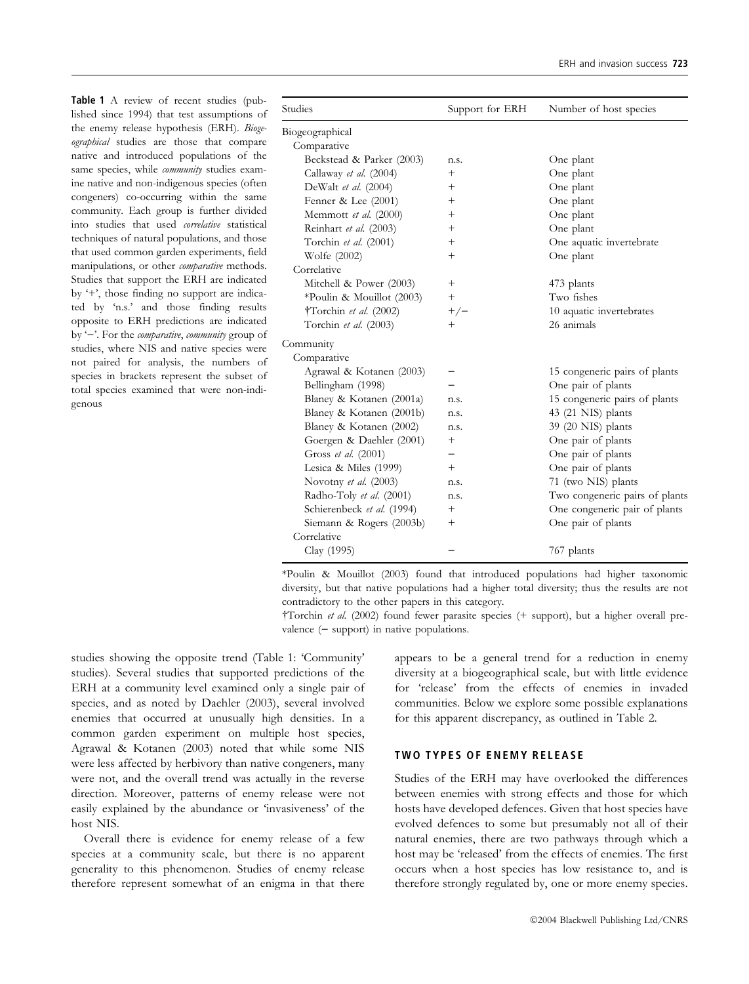Table 1 A review of recent studies (published since 1994) that test assumptions of the enemy release hypothesis (ERH). Biogeographical studies are those that compare native and introduced populations of the same species, while *community* studies examine native and non-indigenous species (often congeners) co-occurring within the same community. Each group is further divided into studies that used correlative statistical techniques of natural populations, and those that used common garden experiments, field manipulations, or other *comparative* methods. Studies that support the ERH are indicated by '+', those finding no support are indicated by 'n.s.' and those finding results opposite to ERH predictions are indicated by '-'. For the *comparative*, *community* group of studies, where NIS and native species were not paired for analysis, the numbers of species in brackets represent the subset of total species examined that were non-indigenous

| Studies                    | Support for ERH | Number of host species         |
|----------------------------|-----------------|--------------------------------|
| Biogeographical            |                 |                                |
| Comparative                |                 |                                |
| Beckstead & Parker (2003)  | n.s.            | One plant                      |
| Callaway et al. (2004)     | $+$             | One plant                      |
| DeWalt et al. (2004)       | $+$             | One plant                      |
| Fenner & Lee (2001)        | $+$             | One plant                      |
| Memmott et al. (2000)      | $+$             | One plant                      |
| Reinhart et al. (2003)     | $+$             | One plant                      |
| Torchin et al. (2001)      | $+$             | One aquatic invertebrate       |
| Wolfe (2002)               | $+$             | One plant                      |
| Correlative                |                 |                                |
| Mitchell & Power (2003)    | $+$             | 473 plants                     |
| *Poulin & Mouillot (2003)  | $^{+}$          | Two fishes                     |
| †Torchin et al. $(2002)$   | $+/-$           | 10 aquatic invertebrates       |
| Torchin et al. (2003)      | $+$             | 26 animals                     |
| Community                  |                 |                                |
| Comparative                |                 |                                |
| Agrawal & Kotanen (2003)   |                 | 15 congeneric pairs of plants  |
| Bellingham (1998)          |                 | One pair of plants             |
| Blaney & Kotanen (2001a)   | n.s.            | 15 congeneric pairs of plants  |
| Blaney & Kotanen (2001b)   | n.s.            | 43 (21 NIS) plants             |
| Blaney & Kotanen (2002)    | n.s.            | 39 (20 NIS) plants             |
| Goergen & Daehler (2001)   | $^{+}$          | One pair of plants             |
| Gross et al. (2001)        |                 | One pair of plants             |
| Lesica & Miles (1999)      | $+$             | One pair of plants             |
| Novotny et al. $(2003)$    | n.s.            | 71 (two NIS) plants            |
| Radho-Toly et al. (2001)   | n.s.            | Two congeneric pairs of plants |
| Schierenbeck et al. (1994) | $^{+}$          | One congeneric pair of plants  |
| Siemann & Rogers (2003b)   | $^{+}$          | One pair of plants             |
| Correlative                |                 |                                |
| Clay (1995)                |                 | 767 plants                     |

\*Poulin & Mouillot (2003) found that introduced populations had higher taxonomic diversity, but that native populations had a higher total diversity; thus the results are not contradictory to the other papers in this category.

Torchin et al. (2002) found fewer parasite species (+ support), but a higher overall prevalence  $(-$  support) in native populations.

studies showing the opposite trend (Table 1: 'Community' studies). Several studies that supported predictions of the ERH at a community level examined only a single pair of species, and as noted by Daehler (2003), several involved enemies that occurred at unusually high densities. In a common garden experiment on multiple host species, Agrawal & Kotanen (2003) noted that while some NIS were less affected by herbivory than native congeners, many were not, and the overall trend was actually in the reverse direction. Moreover, patterns of enemy release were not easily explained by the abundance or 'invasiveness' of the host NIS.

Overall there is evidence for enemy release of a few species at a community scale, but there is no apparent generality to this phenomenon. Studies of enemy release therefore represent somewhat of an enigma in that there

appears to be a general trend for a reduction in enemy diversity at a biogeographical scale, but with little evidence for 'release' from the effects of enemies in invaded communities. Below we explore some possible explanations for this apparent discrepancy, as outlined in Table 2.

## TWO TYPES OF ENEMY RELEASE

Studies of the ERH may have overlooked the differences between enemies with strong effects and those for which hosts have developed defences. Given that host species have evolved defences to some but presumably not all of their natural enemies, there are two pathways through which a host may be 'released' from the effects of enemies. The first occurs when a host species has low resistance to, and is therefore strongly regulated by, one or more enemy species.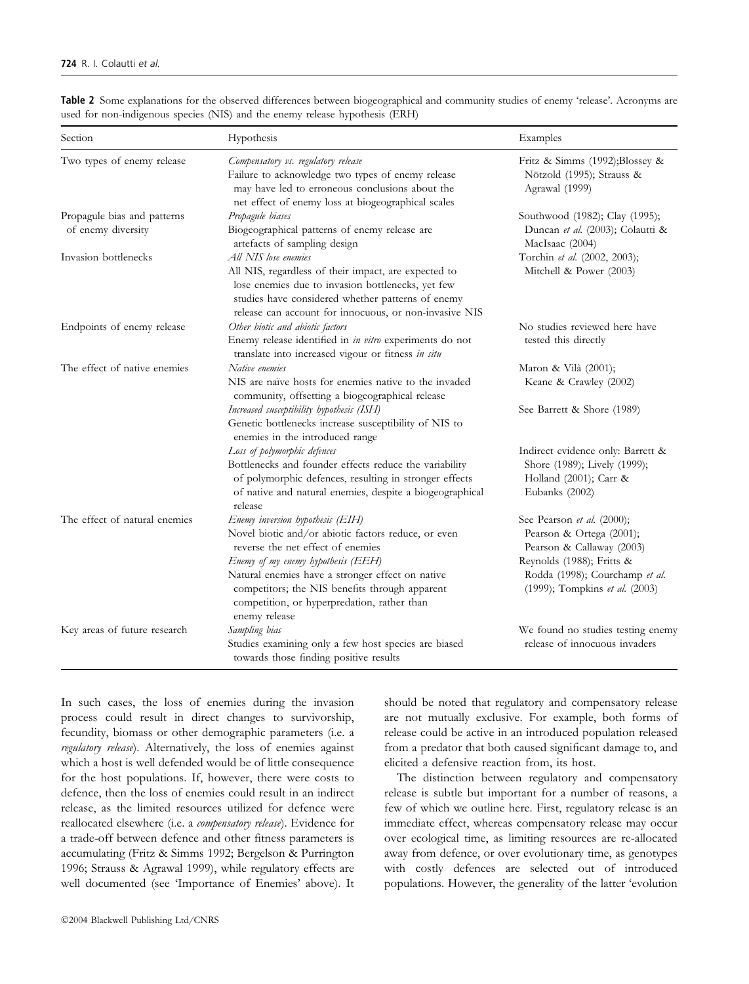| Section                                           | Hypothesis                                                                                                                                                                                                                                                                                                                         | Examples                                                                                                                                                                             |
|---------------------------------------------------|------------------------------------------------------------------------------------------------------------------------------------------------------------------------------------------------------------------------------------------------------------------------------------------------------------------------------------|--------------------------------------------------------------------------------------------------------------------------------------------------------------------------------------|
| Two types of enemy release                        | Compensatory vs. regulatory release<br>Failure to acknowledge two types of enemy release<br>may have led to erroneous conclusions about the<br>net effect of enemy loss at biogeographical scales                                                                                                                                  | Fritz & Simms (1992);Blossey &<br>Nötzold (1995); Strauss &<br>Agrawal (1999)                                                                                                        |
| Propagule bias and patterns<br>of enemy diversity | Propagule biases<br>Biogeographical patterns of enemy release are<br>artefacts of sampling design                                                                                                                                                                                                                                  | Southwood (1982); Clay (1995);<br>Duncan et al. (2003); Colautti &<br>MacIsaac (2004)                                                                                                |
| Invasion bottlenecks                              | All NIS lose enemies<br>All NIS, regardless of their impact, are expected to<br>lose enemies due to invasion bottlenecks, yet few<br>studies have considered whether patterns of enemy<br>release can account for innocuous, or non-invasive NIS                                                                                   | Torchin et al. (2002, 2003);<br>Mitchell & Power (2003)                                                                                                                              |
| Endpoints of enemy release                        | Other biotic and abiotic factors<br>Enemy release identified in in vitro experiments do not<br>translate into increased vigour or fitness in situ                                                                                                                                                                                  | No studies reviewed here have<br>tested this directly                                                                                                                                |
| The effect of native enemies                      | Native enemies<br>NIS are naïve hosts for enemies native to the invaded<br>community, offsetting a biogeographical release<br>Increased susceptibility hypothesis (ISH)<br>Genetic bottlenecks increase susceptibility of NIS to                                                                                                   | Maron & Vilà (2001);<br>Keane & Crawley (2002)<br>See Barrett & Shore (1989)                                                                                                         |
|                                                   | enemies in the introduced range<br>Loss of polymorphic defences<br>Bottlenecks and founder effects reduce the variability<br>of polymorphic defences, resulting in stronger effects<br>of native and natural enemies, despite a biogeographical                                                                                    | Indirect evidence only: Barrett &<br>Shore (1989); Lively (1999);<br>Holland (2001); Carr &<br>Eubanks (2002)                                                                        |
| The effect of natural enemies                     | release<br>Enemy inversion hypothesis (EIH)<br>Novel biotic and/or abiotic factors reduce, or even<br>reverse the net effect of enemies<br>Enemy of my enemy hypothesis (EEH)<br>Natural enemies have a stronger effect on native<br>competitors; the NIS benefits through apparent<br>competition, or hyperpredation, rather than | See Pearson et al. (2000);<br>Pearson & Ortega (2001);<br>Pearson & Callaway (2003)<br>Reynolds (1988); Fritts &<br>Rodda (1998); Courchamp et al.<br>(1999); Tompkins et al. (2003) |
| Key areas of future research                      | enemy release<br>Sampling bias<br>Studies examining only a few host species are biased<br>towards those finding positive results                                                                                                                                                                                                   | We found no studies testing enemy<br>release of innocuous invaders                                                                                                                   |

Table 2 Some explanations for the observed differences between biogeographical and community studies of enemy 'release'. Acronyms are used for non-indigenous species (NIS) and the enemy release hypothesis (ERH)

In such cases, the loss of enemies during the invasion process could result in direct changes to survivorship, fecundity, biomass or other demographic parameters (i.e. a regulatory release). Alternatively, the loss of enemies against which a host is well defended would be of little consequence for the host populations. If, however, there were costs to defence, then the loss of enemies could result in an indirect release, as the limited resources utilized for defence were reallocated elsewhere (i.e. a compensatory release). Evidence for a trade-off between defence and other fitness parameters is accumulating (Fritz & Simms 1992; Bergelson & Purrington 1996; Strauss & Agrawal 1999), while regulatory effects are well documented (see 'Importance of Enemies' above). It should be noted that regulatory and compensatory release are not mutually exclusive. For example, both forms of release could be active in an introduced population released from a predator that both caused significant damage to, and elicited a defensive reaction from, its host.

The distinction between regulatory and compensatory release is subtle but important for a number of reasons, a few of which we outline here. First, regulatory release is an immediate effect, whereas compensatory release may occur over ecological time, as limiting resources are re-allocated away from defence, or over evolutionary time, as genotypes with costly defences are selected out of introduced populations. However, the generality of the latter 'evolution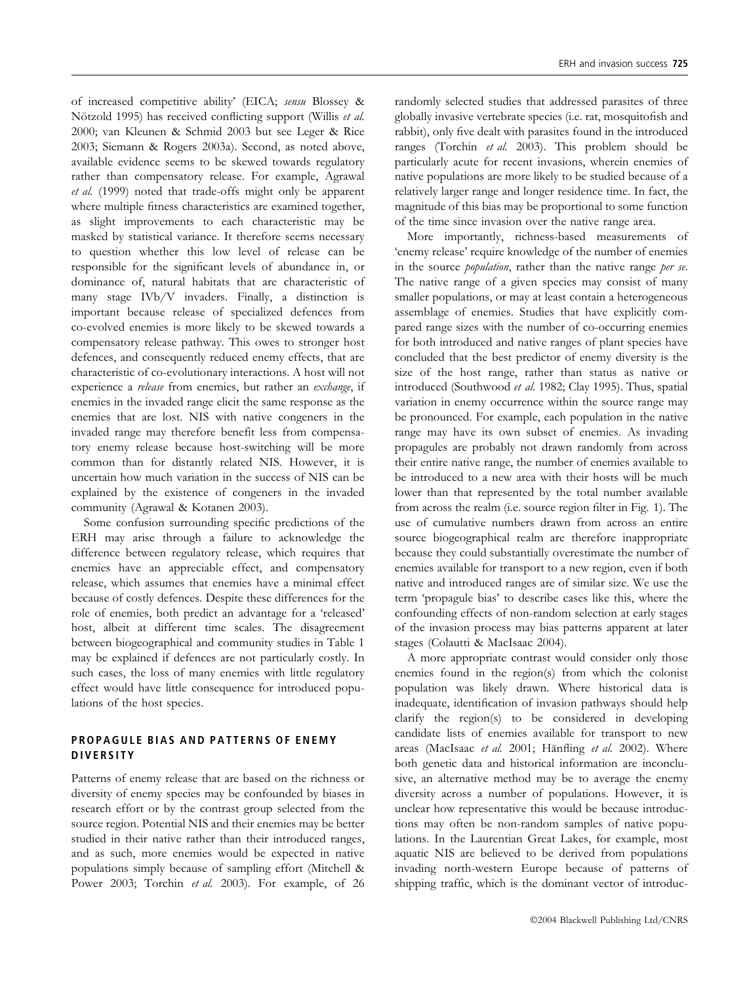of increased competitive ability' (EICA; sensu Blossey & Nötzold 1995) has received conflicting support (Willis et al. 2000; van Kleunen & Schmid 2003 but see Leger & Rice 2003; Siemann & Rogers 2003a). Second, as noted above, available evidence seems to be skewed towards regulatory rather than compensatory release. For example, Agrawal et al. (1999) noted that trade-offs might only be apparent where multiple fitness characteristics are examined together, as slight improvements to each characteristic may be masked by statistical variance. It therefore seems necessary to question whether this low level of release can be responsible for the significant levels of abundance in, or dominance of, natural habitats that are characteristic of many stage IVb/V invaders. Finally, a distinction is important because release of specialized defences from co-evolved enemies is more likely to be skewed towards a compensatory release pathway. This owes to stronger host defences, and consequently reduced enemy effects, that are characteristic of co-evolutionary interactions. A host will not experience a release from enemies, but rather an exchange, if enemies in the invaded range elicit the same response as the enemies that are lost. NIS with native congeners in the invaded range may therefore benefit less from compensatory enemy release because host-switching will be more common than for distantly related NIS. However, it is uncertain how much variation in the success of NIS can be explained by the existence of congeners in the invaded community (Agrawal & Kotanen 2003).

Some confusion surrounding specific predictions of the ERH may arise through a failure to acknowledge the difference between regulatory release, which requires that enemies have an appreciable effect, and compensatory release, which assumes that enemies have a minimal effect because of costly defences. Despite these differences for the role of enemies, both predict an advantage for a 'released' host, albeit at different time scales. The disagreement between biogeographical and community studies in Table 1 may be explained if defences are not particularly costly. In such cases, the loss of many enemies with little regulatory effect would have little consequence for introduced populations of the host species.

## PROPAGULE BIAS AND PATTERNS OF ENEMY **DIVERSITY**

Patterns of enemy release that are based on the richness or diversity of enemy species may be confounded by biases in research effort or by the contrast group selected from the source region. Potential NIS and their enemies may be better studied in their native rather than their introduced ranges, and as such, more enemies would be expected in native populations simply because of sampling effort (Mitchell & Power 2003; Torchin et al. 2003). For example, of 26 randomly selected studies that addressed parasites of three globally invasive vertebrate species (i.e. rat, mosquitofish and rabbit), only five dealt with parasites found in the introduced ranges (Torchin et al. 2003). This problem should be particularly acute for recent invasions, wherein enemies of native populations are more likely to be studied because of a relatively larger range and longer residence time. In fact, the magnitude of this bias may be proportional to some function of the time since invasion over the native range area.

More importantly, richness-based measurements of 'enemy release' require knowledge of the number of enemies in the source *population*, rather than the native range per se. The native range of a given species may consist of many smaller populations, or may at least contain a heterogeneous assemblage of enemies. Studies that have explicitly compared range sizes with the number of co-occurring enemies for both introduced and native ranges of plant species have concluded that the best predictor of enemy diversity is the size of the host range, rather than status as native or introduced (Southwood et al. 1982; Clay 1995). Thus, spatial variation in enemy occurrence within the source range may be pronounced. For example, each population in the native range may have its own subset of enemies. As invading propagules are probably not drawn randomly from across their entire native range, the number of enemies available to be introduced to a new area with their hosts will be much lower than that represented by the total number available from across the realm (i.e. source region filter in Fig. 1). The use of cumulative numbers drawn from across an entire source biogeographical realm are therefore inappropriate because they could substantially overestimate the number of enemies available for transport to a new region, even if both native and introduced ranges are of similar size. We use the term 'propagule bias' to describe cases like this, where the confounding effects of non-random selection at early stages of the invasion process may bias patterns apparent at later stages (Colautti & MacIsaac 2004).

A more appropriate contrast would consider only those enemies found in the region(s) from which the colonist population was likely drawn. Where historical data is inadequate, identification of invasion pathways should help clarify the region(s) to be considered in developing candidate lists of enemies available for transport to new areas (MacIsaac et al. 2001; Hänfling et al. 2002). Where both genetic data and historical information are inconclusive, an alternative method may be to average the enemy diversity across a number of populations. However, it is unclear how representative this would be because introductions may often be non-random samples of native populations. In the Laurentian Great Lakes, for example, most aquatic NIS are believed to be derived from populations invading north-western Europe because of patterns of shipping traffic, which is the dominant vector of introduc-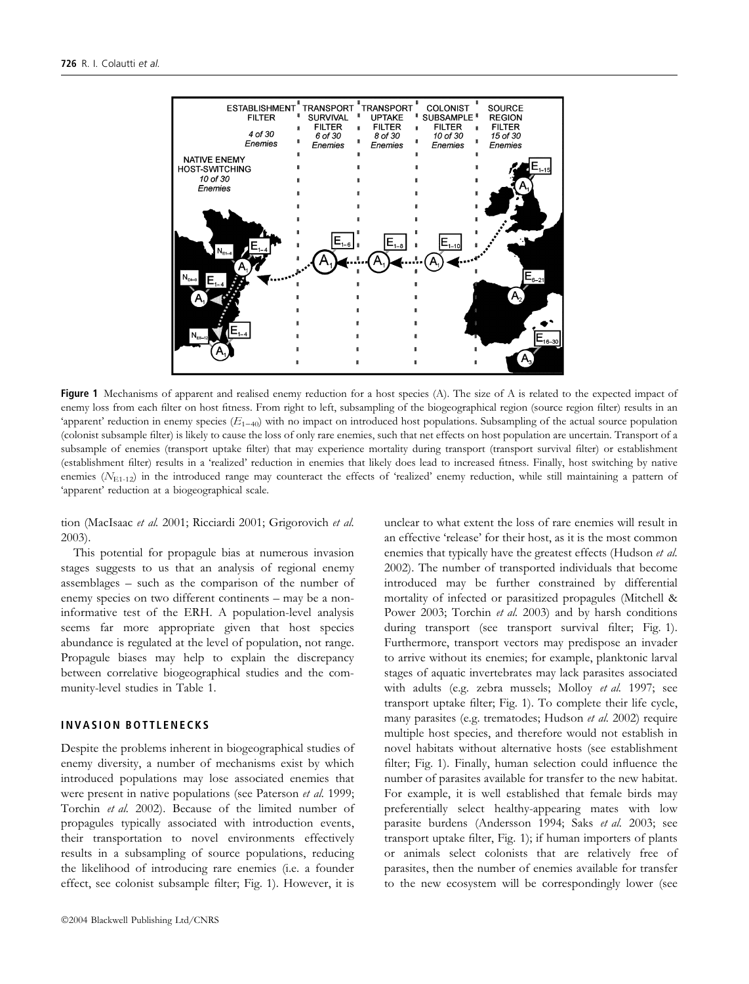

Figure 1 Mechanisms of apparent and realised enemy reduction for a host species (A). The size of A is related to the expected impact of enemy loss from each filter on host fitness. From right to left, subsampling of the biogeographical region (source region filter) results in an 'apparent' reduction in enemy species  $(E_{1-40})$  with no impact on introduced host populations. Subsampling of the actual source population (colonist subsample filter) is likely to cause the loss of only rare enemies, such that net effects on host population are uncertain. Transport of a subsample of enemies (transport uptake filter) that may experience mortality during transport (transport survival filter) or establishment (establishment filter) results in a 'realized' reduction in enemies that likely does lead to increased fitness. Finally, host switching by native enemies  $(N<sub>E1-12</sub>)$  in the introduced range may counteract the effects of 'realized' enemy reduction, while still maintaining a pattern of 'apparent' reduction at a biogeographical scale.

tion (MacIsaac et al. 2001; Ricciardi 2001; Grigorovich et al. 2003).

This potential for propagule bias at numerous invasion stages suggests to us that an analysis of regional enemy assemblages – such as the comparison of the number of enemy species on two different continents – may be a noninformative test of the ERH. A population-level analysis seems far more appropriate given that host species abundance is regulated at the level of population, not range. Propagule biases may help to explain the discrepancy between correlative biogeographical studies and the community-level studies in Table 1.

## INVASION BOTTLENECKS

Despite the problems inherent in biogeographical studies of enemy diversity, a number of mechanisms exist by which introduced populations may lose associated enemies that were present in native populations (see Paterson et al. 1999; Torchin et al. 2002). Because of the limited number of propagules typically associated with introduction events, their transportation to novel environments effectively results in a subsampling of source populations, reducing the likelihood of introducing rare enemies (i.e. a founder effect, see colonist subsample filter; Fig. 1). However, it is

unclear to what extent the loss of rare enemies will result in an effective 'release' for their host, as it is the most common enemies that typically have the greatest effects (Hudson et al. 2002). The number of transported individuals that become introduced may be further constrained by differential mortality of infected or parasitized propagules (Mitchell & Power 2003; Torchin et al. 2003) and by harsh conditions during transport (see transport survival filter; Fig. 1). Furthermore, transport vectors may predispose an invader to arrive without its enemies; for example, planktonic larval stages of aquatic invertebrates may lack parasites associated with adults (e.g. zebra mussels; Molloy et al. 1997; see transport uptake filter; Fig. 1). To complete their life cycle, many parasites (e.g. trematodes; Hudson et al. 2002) require multiple host species, and therefore would not establish in novel habitats without alternative hosts (see establishment filter; Fig. 1). Finally, human selection could influence the number of parasites available for transfer to the new habitat. For example, it is well established that female birds may preferentially select healthy-appearing mates with low parasite burdens (Andersson 1994; Saks et al. 2003; see transport uptake filter, Fig. 1); if human importers of plants or animals select colonists that are relatively free of parasites, then the number of enemies available for transfer to the new ecosystem will be correspondingly lower (see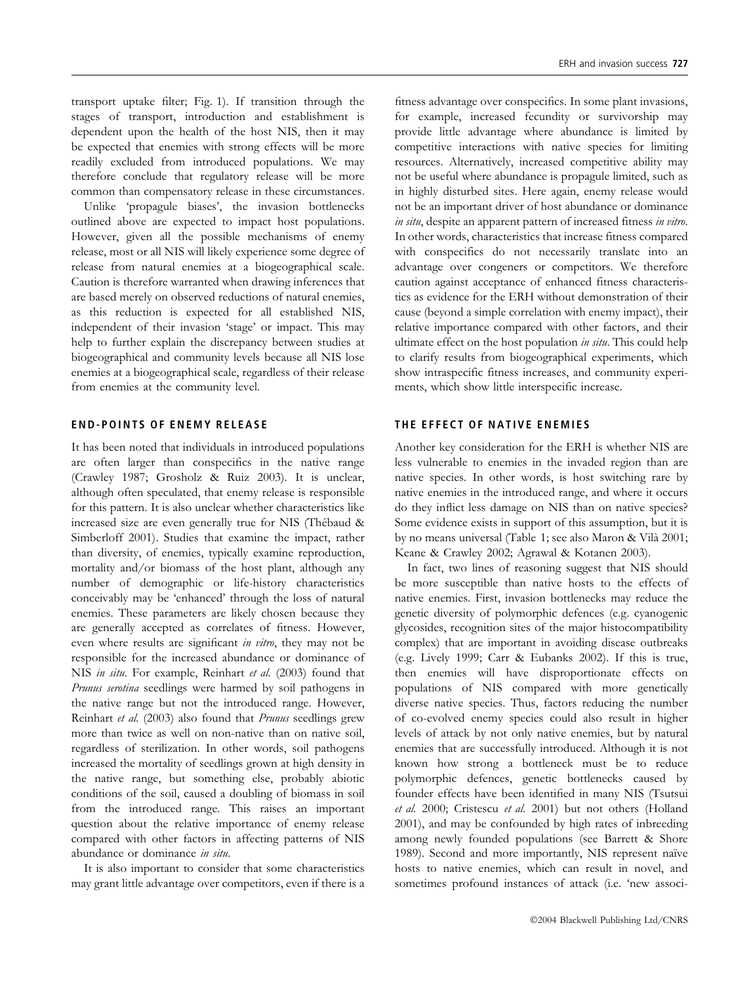transport uptake filter; Fig. 1). If transition through the stages of transport, introduction and establishment is dependent upon the health of the host NIS, then it may be expected that enemies with strong effects will be more readily excluded from introduced populations. We may therefore conclude that regulatory release will be more common than compensatory release in these circumstances.

Unlike 'propagule biases', the invasion bottlenecks outlined above are expected to impact host populations. However, given all the possible mechanisms of enemy release, most or all NIS will likely experience some degree of release from natural enemies at a biogeographical scale. Caution is therefore warranted when drawing inferences that are based merely on observed reductions of natural enemies, as this reduction is expected for all established NIS, independent of their invasion 'stage' or impact. This may help to further explain the discrepancy between studies at biogeographical and community levels because all NIS lose enemies at a biogeographical scale, regardless of their release from enemies at the community level.

## END-POINTS OF ENEMY RELEASE

It has been noted that individuals in introduced populations are often larger than conspecifics in the native range (Crawley 1987; Grosholz & Ruiz 2003). It is unclear, although often speculated, that enemy release is responsible for this pattern. It is also unclear whether characteristics like increased size are even generally true for NIS (Thébaud & Simberloff 2001). Studies that examine the impact, rather than diversity, of enemies, typically examine reproduction, mortality and/or biomass of the host plant, although any number of demographic or life-history characteristics conceivably may be 'enhanced' through the loss of natural enemies. These parameters are likely chosen because they are generally accepted as correlates of fitness. However, even where results are significant in vitro, they may not be responsible for the increased abundance or dominance of NIS in situ. For example, Reinhart et al. (2003) found that Prunus serotina seedlings were harmed by soil pathogens in the native range but not the introduced range. However, Reinhart et al. (2003) also found that Prunus seedlings grew more than twice as well on non-native than on native soil, regardless of sterilization. In other words, soil pathogens increased the mortality of seedlings grown at high density in the native range, but something else, probably abiotic conditions of the soil, caused a doubling of biomass in soil from the introduced range. This raises an important question about the relative importance of enemy release compared with other factors in affecting patterns of NIS abundance or dominance in situ.

It is also important to consider that some characteristics may grant little advantage over competitors, even if there is a

fitness advantage over conspecifics. In some plant invasions, for example, increased fecundity or survivorship may provide little advantage where abundance is limited by competitive interactions with native species for limiting resources. Alternatively, increased competitive ability may not be useful where abundance is propagule limited, such as in highly disturbed sites. Here again, enemy release would not be an important driver of host abundance or dominance in situ, despite an apparent pattern of increased fitness in vitro. In other words, characteristics that increase fitness compared with conspecifics do not necessarily translate into an advantage over congeners or competitors. We therefore caution against acceptance of enhanced fitness characteristics as evidence for the ERH without demonstration of their cause (beyond a simple correlation with enemy impact), their relative importance compared with other factors, and their ultimate effect on the host population in situ. This could help to clarify results from biogeographical experiments, which show intraspecific fitness increases, and community experiments, which show little interspecific increase.

## THE EFFECT OF NATIVE ENEMIES

Another key consideration for the ERH is whether NIS are less vulnerable to enemies in the invaded region than are native species. In other words, is host switching rare by native enemies in the introduced range, and where it occurs do they inflict less damage on NIS than on native species? Some evidence exists in support of this assumption, but it is by no means universal (Table 1; see also Maron & Vila` 2001; Keane & Crawley 2002; Agrawal & Kotanen 2003).

In fact, two lines of reasoning suggest that NIS should be more susceptible than native hosts to the effects of native enemies. First, invasion bottlenecks may reduce the genetic diversity of polymorphic defences (e.g. cyanogenic glycosides, recognition sites of the major histocompatibility complex) that are important in avoiding disease outbreaks (e.g. Lively 1999; Carr & Eubanks 2002). If this is true, then enemies will have disproportionate effects on populations of NIS compared with more genetically diverse native species. Thus, factors reducing the number of co-evolved enemy species could also result in higher levels of attack by not only native enemies, but by natural enemies that are successfully introduced. Although it is not known how strong a bottleneck must be to reduce polymorphic defences, genetic bottlenecks caused by founder effects have been identified in many NIS (Tsutsui et al. 2000; Cristescu et al. 2001) but not others (Holland 2001), and may be confounded by high rates of inbreeding among newly founded populations (see Barrett & Shore 1989). Second and more importantly, NIS represent naïve hosts to native enemies, which can result in novel, and sometimes profound instances of attack (i.e. 'new associ-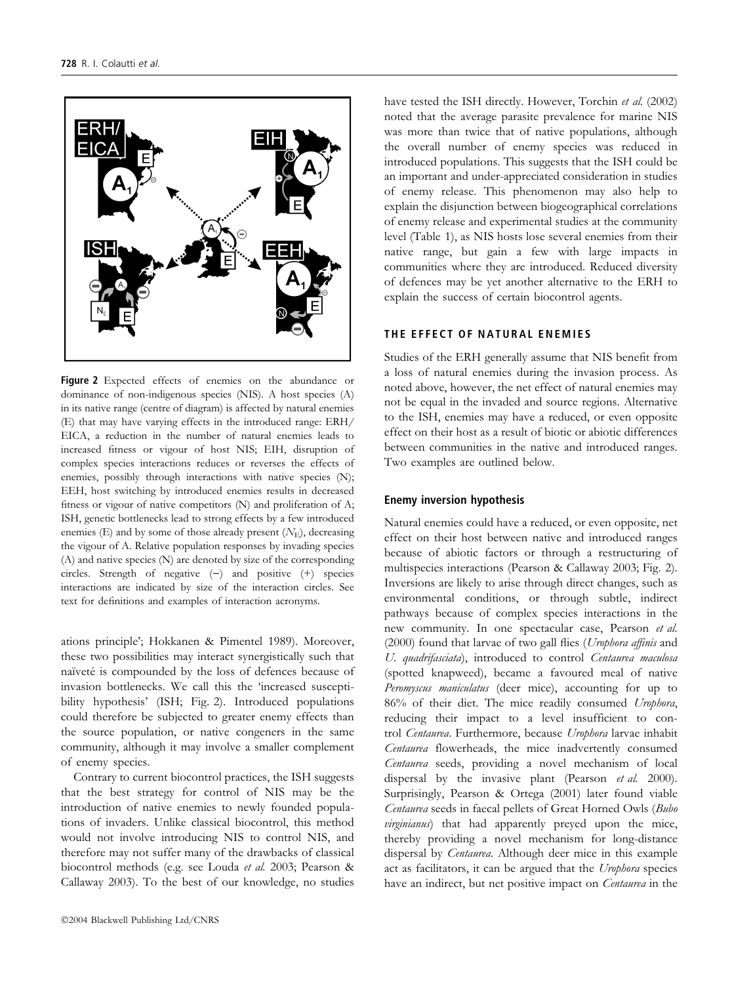

Figure 2 Expected effects of enemies on the abundance or dominance of non-indigenous species (NIS). A host species (A) in its native range (centre of diagram) is affected by natural enemies (E) that may have varying effects in the introduced range: ERH/ EICA, a reduction in the number of natural enemies leads to increased fitness or vigour of host NIS; EIH, disruption of complex species interactions reduces or reverses the effects of enemies, possibly through interactions with native species (N); EEH, host switching by introduced enemies results in decreased fitness or vigour of native competitors (N) and proliferation of A; ISH, genetic bottlenecks lead to strong effects by a few introduced enemies (E) and by some of those already present  $(N_{\rm E})$ , decreasing the vigour of A. Relative population responses by invading species (A) and native species (N) are denoted by size of the corresponding circles. Strength of negative  $(-)$  and positive  $(+)$  species interactions are indicated by size of the interaction circles. See text for definitions and examples of interaction acronyms.

ations principle'; Hokkanen & Pimentel 1989). Moreover, these two possibilities may interact synergistically such that naïveté is compounded by the loss of defences because of invasion bottlenecks. We call this the 'increased susceptibility hypothesis' (ISH; Fig. 2). Introduced populations could therefore be subjected to greater enemy effects than the source population, or native congeners in the same community, although it may involve a smaller complement of enemy species.

Contrary to current biocontrol practices, the ISH suggests that the best strategy for control of NIS may be the introduction of native enemies to newly founded populations of invaders. Unlike classical biocontrol, this method would not involve introducing NIS to control NIS, and therefore may not suffer many of the drawbacks of classical biocontrol methods (e.g. see Louda et al. 2003; Pearson & Callaway 2003). To the best of our knowledge, no studies

have tested the ISH directly. However, Torchin et al. (2002) noted that the average parasite prevalence for marine NIS was more than twice that of native populations, although the overall number of enemy species was reduced in introduced populations. This suggests that the ISH could be an important and under-appreciated consideration in studies of enemy release. This phenomenon may also help to explain the disjunction between biogeographical correlations of enemy release and experimental studies at the community level (Table 1), as NIS hosts lose several enemies from their native range, but gain a few with large impacts in communities where they are introduced. Reduced diversity of defences may be yet another alternative to the ERH to explain the success of certain biocontrol agents.

## THE EFFECT OF NATURAL ENEMIES

Studies of the ERH generally assume that NIS benefit from a loss of natural enemies during the invasion process. As noted above, however, the net effect of natural enemies may not be equal in the invaded and source regions. Alternative to the ISH, enemies may have a reduced, or even opposite effect on their host as a result of biotic or abiotic differences between communities in the native and introduced ranges. Two examples are outlined below.

#### Enemy inversion hypothesis

Natural enemies could have a reduced, or even opposite, net effect on their host between native and introduced ranges because of abiotic factors or through a restructuring of multispecies interactions (Pearson & Callaway 2003; Fig. 2). Inversions are likely to arise through direct changes, such as environmental conditions, or through subtle, indirect pathways because of complex species interactions in the new community. In one spectacular case, Pearson et al. (2000) found that larvae of two gall flies (Urophora affinis and U. quadrifasciata), introduced to control Centaurea maculosa (spotted knapweed), became a favoured meal of native Peromyscus maniculatus (deer mice), accounting for up to 86% of their diet. The mice readily consumed Urophora, reducing their impact to a level insufficient to control Centaurea. Furthermore, because Urophora larvae inhabit Centaurea flowerheads, the mice inadvertently consumed Centaurea seeds, providing a novel mechanism of local dispersal by the invasive plant (Pearson et al. 2000). Surprisingly, Pearson & Ortega (2001) later found viable Centaurea seeds in faecal pellets of Great Horned Owls (Bubo virginianus) that had apparently preyed upon the mice, thereby providing a novel mechanism for long-distance dispersal by Centaurea. Although deer mice in this example act as facilitators, it can be argued that the Urophora species have an indirect, but net positive impact on *Centaurea* in the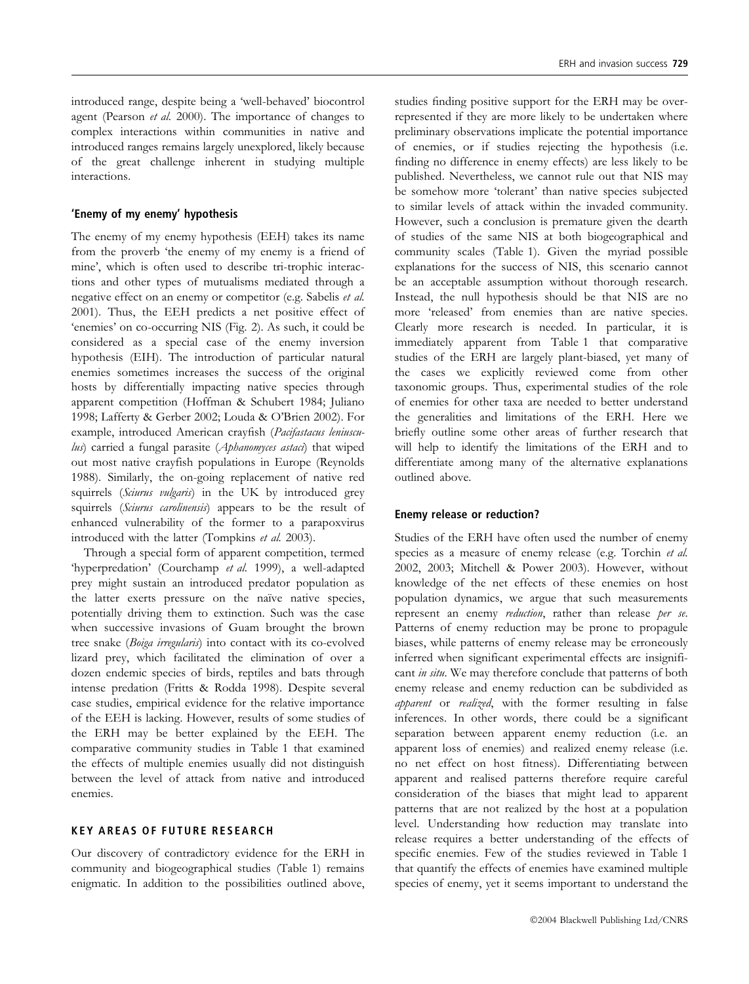introduced range, despite being a 'well-behaved' biocontrol agent (Pearson et al. 2000). The importance of changes to complex interactions within communities in native and introduced ranges remains largely unexplored, likely because of the great challenge inherent in studying multiple interactions.

## 'Enemy of my enemy' hypothesis

The enemy of my enemy hypothesis (EEH) takes its name from the proverb 'the enemy of my enemy is a friend of mine', which is often used to describe tri-trophic interactions and other types of mutualisms mediated through a negative effect on an enemy or competitor (e.g. Sabelis et al. 2001). Thus, the EEH predicts a net positive effect of 'enemies' on co-occurring NIS (Fig. 2). As such, it could be considered as a special case of the enemy inversion hypothesis (EIH). The introduction of particular natural enemies sometimes increases the success of the original hosts by differentially impacting native species through apparent competition (Hoffman & Schubert 1984; Juliano 1998; Lafferty & Gerber 2002; Louda & O'Brien 2002). For example, introduced American crayfish (Pacifastacus leniusculus) carried a fungal parasite (Aphanomyces astaci) that wiped out most native crayfish populations in Europe (Reynolds 1988). Similarly, the on-going replacement of native red squirrels (Sciurus vulgaris) in the UK by introduced grey squirrels (Sciurus carolinensis) appears to be the result of enhanced vulnerability of the former to a parapoxvirus introduced with the latter (Tompkins et al. 2003).

Through a special form of apparent competition, termed 'hyperpredation' (Courchamp et al. 1999), a well-adapted prey might sustain an introduced predator population as the latter exerts pressure on the naïve native species, potentially driving them to extinction. Such was the case when successive invasions of Guam brought the brown tree snake (Boiga irregularis) into contact with its co-evolved lizard prey, which facilitated the elimination of over a dozen endemic species of birds, reptiles and bats through intense predation (Fritts & Rodda 1998). Despite several case studies, empirical evidence for the relative importance of the EEH is lacking. However, results of some studies of the ERH may be better explained by the EEH. The comparative community studies in Table 1 that examined the effects of multiple enemies usually did not distinguish between the level of attack from native and introduced enemies.

## KEY AREAS OF FUTURE RESEARCH

Our discovery of contradictory evidence for the ERH in community and biogeographical studies (Table 1) remains enigmatic. In addition to the possibilities outlined above, studies finding positive support for the ERH may be overrepresented if they are more likely to be undertaken where preliminary observations implicate the potential importance of enemies, or if studies rejecting the hypothesis (i.e. finding no difference in enemy effects) are less likely to be published. Nevertheless, we cannot rule out that NIS may be somehow more 'tolerant' than native species subjected to similar levels of attack within the invaded community. However, such a conclusion is premature given the dearth of studies of the same NIS at both biogeographical and community scales (Table 1). Given the myriad possible explanations for the success of NIS, this scenario cannot be an acceptable assumption without thorough research. Instead, the null hypothesis should be that NIS are no more 'released' from enemies than are native species. Clearly more research is needed. In particular, it is immediately apparent from Table 1 that comparative studies of the ERH are largely plant-biased, yet many of the cases we explicitly reviewed come from other taxonomic groups. Thus, experimental studies of the role of enemies for other taxa are needed to better understand the generalities and limitations of the ERH. Here we briefly outline some other areas of further research that will help to identify the limitations of the ERH and to differentiate among many of the alternative explanations outlined above.

#### Enemy release or reduction?

Studies of the ERH have often used the number of enemy species as a measure of enemy release (e.g. Torchin et al. 2002, 2003; Mitchell & Power 2003). However, without knowledge of the net effects of these enemies on host population dynamics, we argue that such measurements represent an enemy reduction, rather than release per se. Patterns of enemy reduction may be prone to propagule biases, while patterns of enemy release may be erroneously inferred when significant experimental effects are insignificant in situ. We may therefore conclude that patterns of both enemy release and enemy reduction can be subdivided as apparent or realized, with the former resulting in false inferences. In other words, there could be a significant separation between apparent enemy reduction (i.e. an apparent loss of enemies) and realized enemy release (i.e. no net effect on host fitness). Differentiating between apparent and realised patterns therefore require careful consideration of the biases that might lead to apparent patterns that are not realized by the host at a population level. Understanding how reduction may translate into release requires a better understanding of the effects of specific enemies. Few of the studies reviewed in Table 1 that quantify the effects of enemies have examined multiple species of enemy, yet it seems important to understand the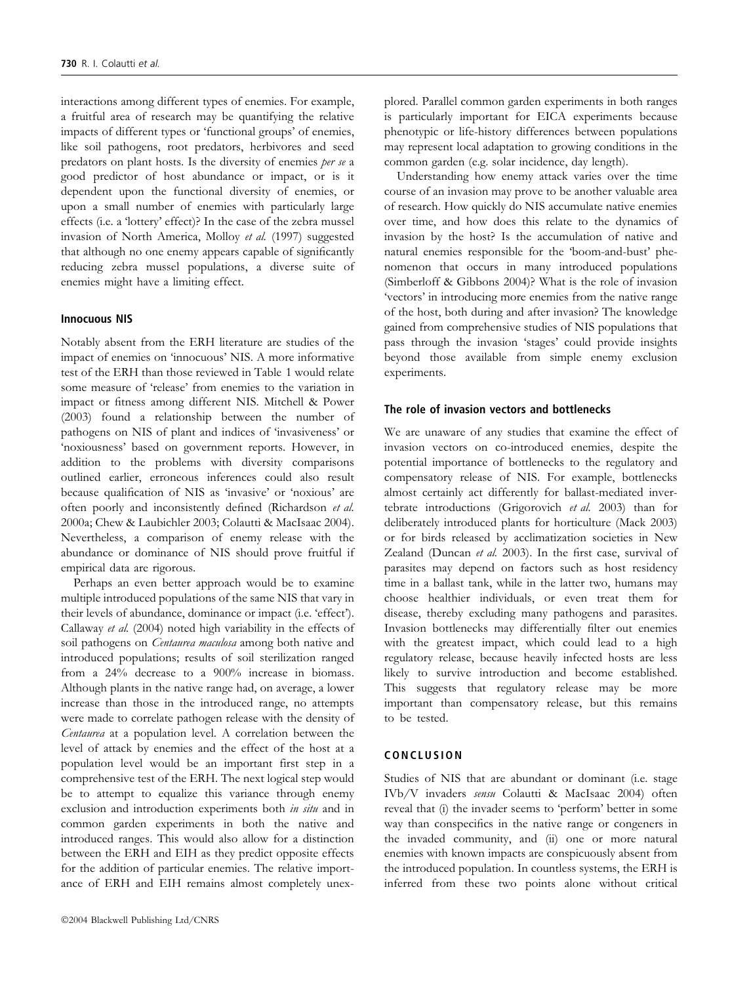interactions among different types of enemies. For example, a fruitful area of research may be quantifying the relative impacts of different types or 'functional groups' of enemies, like soil pathogens, root predators, herbivores and seed predators on plant hosts. Is the diversity of enemies per se a good predictor of host abundance or impact, or is it dependent upon the functional diversity of enemies, or upon a small number of enemies with particularly large effects (i.e. a 'lottery' effect)? In the case of the zebra mussel invasion of North America, Molloy et al. (1997) suggested that although no one enemy appears capable of significantly reducing zebra mussel populations, a diverse suite of enemies might have a limiting effect.

## Innocuous NIS

Notably absent from the ERH literature are studies of the impact of enemies on 'innocuous' NIS. A more informative test of the ERH than those reviewed in Table 1 would relate some measure of 'release' from enemies to the variation in impact or fitness among different NIS. Mitchell & Power (2003) found a relationship between the number of pathogens on NIS of plant and indices of 'invasiveness' or 'noxiousness' based on government reports. However, in addition to the problems with diversity comparisons outlined earlier, erroneous inferences could also result because qualification of NIS as 'invasive' or 'noxious' are often poorly and inconsistently defined (Richardson et al. 2000a; Chew & Laubichler 2003; Colautti & MacIsaac 2004). Nevertheless, a comparison of enemy release with the abundance or dominance of NIS should prove fruitful if empirical data are rigorous.

Perhaps an even better approach would be to examine multiple introduced populations of the same NIS that vary in their levels of abundance, dominance or impact (i.e. 'effect'). Callaway et al. (2004) noted high variability in the effects of soil pathogens on *Centaurea maculosa* among both native and introduced populations; results of soil sterilization ranged from a 24% decrease to a 900% increase in biomass. Although plants in the native range had, on average, a lower increase than those in the introduced range, no attempts were made to correlate pathogen release with the density of Centaurea at a population level. A correlation between the level of attack by enemies and the effect of the host at a population level would be an important first step in a comprehensive test of the ERH. The next logical step would be to attempt to equalize this variance through enemy exclusion and introduction experiments both in situ and in common garden experiments in both the native and introduced ranges. This would also allow for a distinction between the ERH and EIH as they predict opposite effects for the addition of particular enemies. The relative importance of ERH and EIH remains almost completely unexplored. Parallel common garden experiments in both ranges is particularly important for EICA experiments because phenotypic or life-history differences between populations may represent local adaptation to growing conditions in the common garden (e.g. solar incidence, day length).

Understanding how enemy attack varies over the time course of an invasion may prove to be another valuable area of research. How quickly do NIS accumulate native enemies over time, and how does this relate to the dynamics of invasion by the host? Is the accumulation of native and natural enemies responsible for the 'boom-and-bust' phenomenon that occurs in many introduced populations (Simberloff & Gibbons 2004)? What is the role of invasion 'vectors' in introducing more enemies from the native range of the host, both during and after invasion? The knowledge gained from comprehensive studies of NIS populations that pass through the invasion 'stages' could provide insights beyond those available from simple enemy exclusion experiments.

## The role of invasion vectors and bottlenecks

We are unaware of any studies that examine the effect of invasion vectors on co-introduced enemies, despite the potential importance of bottlenecks to the regulatory and compensatory release of NIS. For example, bottlenecks almost certainly act differently for ballast-mediated invertebrate introductions (Grigorovich et al. 2003) than for deliberately introduced plants for horticulture (Mack 2003) or for birds released by acclimatization societies in New Zealand (Duncan et al. 2003). In the first case, survival of parasites may depend on factors such as host residency time in a ballast tank, while in the latter two, humans may choose healthier individuals, or even treat them for disease, thereby excluding many pathogens and parasites. Invasion bottlenecks may differentially filter out enemies with the greatest impact, which could lead to a high regulatory release, because heavily infected hosts are less likely to survive introduction and become established. This suggests that regulatory release may be more important than compensatory release, but this remains to be tested.

## CONCLUSION

Studies of NIS that are abundant or dominant (i.e. stage IVb/V invaders sensu Colautti & MacIsaac 2004) often reveal that (i) the invader seems to 'perform' better in some way than conspecifics in the native range or congeners in the invaded community, and (ii) one or more natural enemies with known impacts are conspicuously absent from the introduced population. In countless systems, the ERH is inferred from these two points alone without critical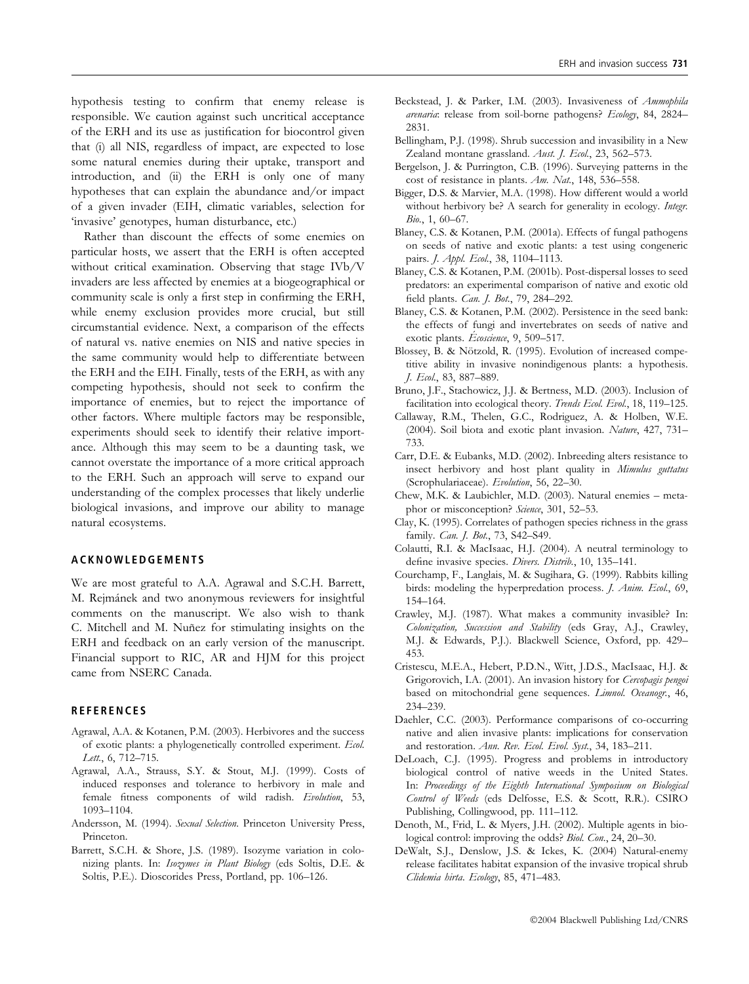hypothesis testing to confirm that enemy release is responsible. We caution against such uncritical acceptance of the ERH and its use as justification for biocontrol given that (i) all NIS, regardless of impact, are expected to lose some natural enemies during their uptake, transport and introduction, and (ii) the ERH is only one of many hypotheses that can explain the abundance and/or impact of a given invader (EIH, climatic variables, selection for 'invasive' genotypes, human disturbance, etc.)

Rather than discount the effects of some enemies on particular hosts, we assert that the ERH is often accepted without critical examination. Observing that stage IVb/V invaders are less affected by enemies at a biogeographical or community scale is only a first step in confirming the ERH, while enemy exclusion provides more crucial, but still circumstantial evidence. Next, a comparison of the effects of natural vs. native enemies on NIS and native species in the same community would help to differentiate between the ERH and the EIH. Finally, tests of the ERH, as with any competing hypothesis, should not seek to confirm the importance of enemies, but to reject the importance of other factors. Where multiple factors may be responsible, experiments should seek to identify their relative importance. Although this may seem to be a daunting task, we cannot overstate the importance of a more critical approach to the ERH. Such an approach will serve to expand our understanding of the complex processes that likely underlie biological invasions, and improve our ability to manage natural ecosystems.

#### ACKNOWLEDGEMENTS

We are most grateful to A.A. Agrawal and S.C.H. Barrett, M. Rejmánek and two anonymous reviewers for insightful comments on the manuscript. We also wish to thank C. Mitchell and M. Nuñez for stimulating insights on the ERH and feedback on an early version of the manuscript. Financial support to RIC, AR and HJM for this project came from NSERC Canada.

#### **REFERENCES**

- Agrawal, A.A. & Kotanen, P.M. (2003). Herbivores and the success of exotic plants: a phylogenetically controlled experiment. Ecol. Lett., 6, 712-715.
- Agrawal, A.A., Strauss, S.Y. & Stout, M.J. (1999). Costs of induced responses and tolerance to herbivory in male and female fitness components of wild radish. Evolution, 53, 1093–1104.
- Andersson, M. (1994). Sexual Selection. Princeton University Press, Princeton.
- Barrett, S.C.H. & Shore, J.S. (1989). Isozyme variation in colonizing plants. In: Isozymes in Plant Biology (eds Soltis, D.E. & Soltis, P.E.). Dioscorides Press, Portland, pp. 106–126.
- Beckstead, J. & Parker, I.M. (2003). Invasiveness of Ammophila arenaria: release from soil-borne pathogens? Ecology, 84, 2824-2831.
- Bellingham, P.J. (1998). Shrub succession and invasibility in a New Zealand montane grassland. Aust. J. Ecol., 23, 562-573.
- Bergelson, J. & Purrington, C.B. (1996). Surveying patterns in the cost of resistance in plants. Am. Nat., 148, 536–558.
- Bigger, D.S. & Marvier, M.A. (1998). How different would a world without herbivory be? A search for generality in ecology. Integr. Bio., 1, 60–67.
- Blaney, C.S. & Kotanen, P.M. (2001a). Effects of fungal pathogens on seeds of native and exotic plants: a test using congeneric pairs. *J. Appl. Ecol.*, 38, 1104-1113.
- Blaney, C.S. & Kotanen, P.M. (2001b). Post-dispersal losses to seed predators: an experimental comparison of native and exotic old field plants. Can. J. Bot., 79, 284–292.
- Blaney, C.S. & Kotanen, P.M. (2002). Persistence in the seed bank: the effects of fungi and invertebrates on seeds of native and exotic plants.  $É \oslash$  609–517.
- Blossey, B. & Nötzold, R. (1995). Evolution of increased competitive ability in invasive nonindigenous plants: a hypothesis. J. Ecol., 83, 887–889.
- Bruno, J.F., Stachowicz, J.J. & Bertness, M.D. (2003). Inclusion of facilitation into ecological theory. *Trends Ecol. Evol.*, 18, 119–125.
- Callaway, R.M., Thelen, G.C., Rodriguez, A. & Holben, W.E. (2004). Soil biota and exotic plant invasion. Nature, 427, 731– 733.
- Carr, D.E. & Eubanks, M.D. (2002). Inbreeding alters resistance to insect herbivory and host plant quality in Mimulus guttatus (Scrophulariaceae). Evolution, 56, 22–30.
- Chew, M.K. & Laubichler, M.D. (2003). Natural enemies metaphor or misconception? Science, 301, 52-53.
- Clay, K. (1995). Correlates of pathogen species richness in the grass family. Can. J. Bot., 73, S42-S49.
- Colautti, R.I. & MacIsaac, H.J. (2004). A neutral terminology to define invasive species. Divers. Distrib., 10, 135–141.
- Courchamp, F., Langlais, M. & Sugihara, G. (1999). Rabbits killing birds: modeling the hyperpredation process. *J. Anim. Ecol.*, 69, 154–164.
- Crawley, M.J. (1987). What makes a community invasible? In: Colonization, Succession and Stability (eds Gray, A.J., Crawley, M.J. & Edwards, P.J.). Blackwell Science, Oxford, pp. 429– 453.
- Cristescu, M.E.A., Hebert, P.D.N., Witt, J.D.S., MacIsaac, H.J. & Grigorovich, I.A. (2001). An invasion history for Cercopagis pengoi based on mitochondrial gene sequences. Limnol. Oceanogr., 46, 234–239.
- Daehler, C.C. (2003). Performance comparisons of co-occurring native and alien invasive plants: implications for conservation and restoration. Ann. Rev. Ecol. Evol. Syst., 34, 183–211.
- DeLoach, C.J. (1995). Progress and problems in introductory biological control of native weeds in the United States. In: Proceedings of the Eighth International Symposium on Biological Control of Weeds (eds Delfosse, E.S. & Scott, R.R.). CSIRO Publishing, Collingwood, pp. 111–112.
- Denoth, M., Frid, L. & Myers, J.H. (2002). Multiple agents in biological control: improving the odds? Biol. Con., 24, 20–30.
- DeWalt, S.J., Denslow, J.S. & Ickes, K. (2004) Natural-enemy release facilitates habitat expansion of the invasive tropical shrub Clidemia hirta. Ecology, 85, 471–483.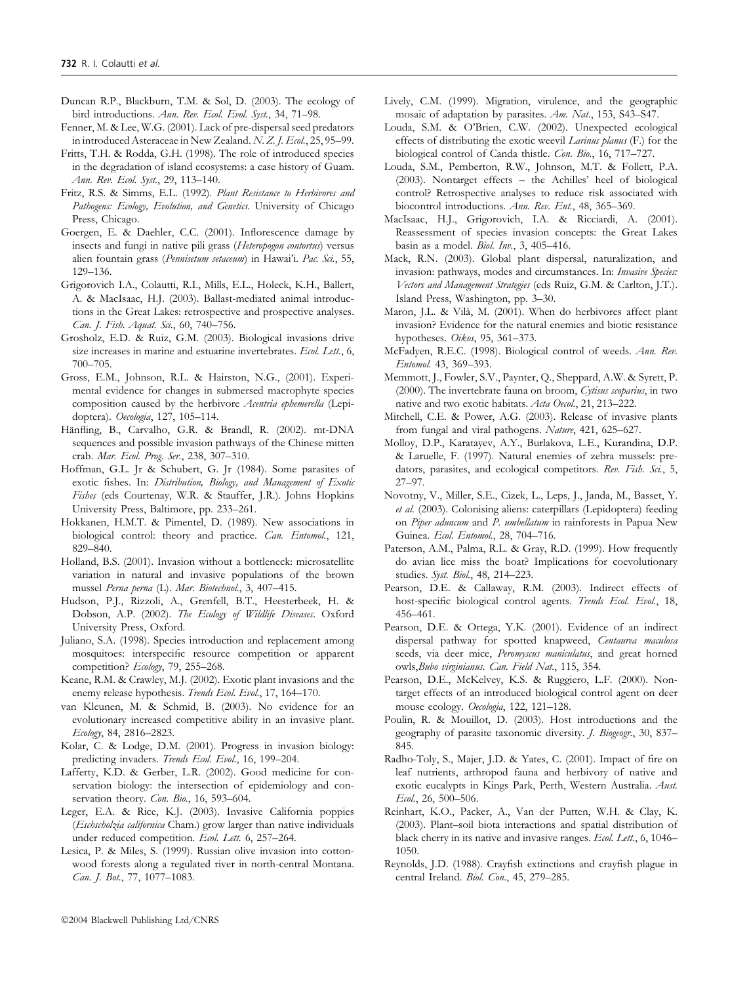- Duncan R.P., Blackburn, T.M. & Sol, D. (2003). The ecology of bird introductions. Ann. Rev. Ecol. Evol. Syst., 34, 71–98.
- Fenner, M. & Lee, W.G. (2001). Lack of pre-dispersal seed predators in introduced Asteraceae in New Zealand. N. Z. J. Ecol., 25, 95-99.
- Fritts, T.H. & Rodda, G.H. (1998). The role of introduced species in the degradation of island ecosystems: a case history of Guam. Ann. Rev. Ecol. Syst., 29, 113-140.
- Fritz, R.S. & Simms, E.L. (1992). Plant Resistance to Herbivores and Pathogens: Ecology, Evolution, and Genetics. University of Chicago Press, Chicago.
- Goergen, E. & Daehler, C.C. (2001). Inflorescence damage by insects and fungi in native pili grass (Heteropogon contortus) versus alien fountain grass (Pennisetum setaceum) in Hawai'i. Pac. Sci., 55, 129–136.
- Grigorovich I.A., Colautti, R.I., Mills, E.L., Holeck, K.H., Ballert, A. & MacIsaac, H.J. (2003). Ballast-mediated animal introductions in the Great Lakes: retrospective and prospective analyses. Can. J. Fish. Aquat. Sci., 60, 740–756.
- Grosholz, E.D. & Ruiz, G.M. (2003). Biological invasions drive size increases in marine and estuarine invertebrates. Ecol. Lett., 6, 700–705.
- Gross, E.M., Johnson, R.L. & Hairston, N.G., (2001). Experimental evidence for changes in submersed macrophyte species composition caused by the herbivore Acentria ephemerella (Lepidoptera). Oecologia, 127, 105–114.
- Hänfling, B., Carvalho, G.R. & Brandl, R. (2002). mt-DNA sequences and possible invasion pathways of the Chinese mitten crab. Mar. Ecol. Prog. Ser., 238, 307–310.
- Hoffman, G.L. Jr & Schubert, G. Jr (1984). Some parasites of exotic fishes. In: Distribution, Biology, and Management of Exotic Fishes (eds Courtenay, W.R. & Stauffer, J.R.). Johns Hopkins University Press, Baltimore, pp. 233–261.
- Hokkanen, H.M.T. & Pimentel, D. (1989). New associations in biological control: theory and practice. Can. Entomol., 121, 829–840.
- Holland, B.S. (2001). Invasion without a bottleneck: microsatellite variation in natural and invasive populations of the brown mussel Perna perna (L). Mar. Biotechnol., 3, 407-415.
- Hudson, P.J., Rizzoli, A., Grenfell, B.T., Heesterbeek, H. & Dobson, A.P. (2002). The Ecology of Wildlife Diseases. Oxford University Press, Oxford.
- Juliano, S.A. (1998). Species introduction and replacement among mosquitoes: interspecific resource competition or apparent competition? Ecology, 79, 255-268.
- Keane, R.M. & Crawley, M.J. (2002). Exotic plant invasions and the enemy release hypothesis. Trends Ecol. Evol., 17, 164-170.
- van Kleunen, M. & Schmid, B. (2003). No evidence for an evolutionary increased competitive ability in an invasive plant. Ecology, 84, 2816–2823.
- Kolar, C. & Lodge, D.M. (2001). Progress in invasion biology: predicting invaders. Trends Ecol. Evol., 16, 199-204.
- Lafferty, K.D. & Gerber, L.R. (2002). Good medicine for conservation biology: the intersection of epidemiology and conservation theory. Con. Bio., 16, 593-604.
- Leger, E.A. & Rice, K.J. (2003). Invasive California poppies (Eschscholzia californica Cham.) grow larger than native individuals under reduced competition. Ecol. Lett. 6, 257-264.
- Lesica, P. & Miles, S. (1999). Russian olive invasion into cottonwood forests along a regulated river in north-central Montana. Can. J. Bot., 77, 1077-1083.
- Lively, C.M. (1999). Migration, virulence, and the geographic mosaic of adaptation by parasites. Am. Nat., 153, S43–S47.
- Louda, S.M. & O'Brien, C.W. (2002). Unexpected ecological effects of distributing the exotic weevil Larinus planus (F.) for the biological control of Canda thistle. Con. Bio., 16, 717–727.
- Louda, S.M., Pemberton, R.W., Johnson, M.T. & Follett, P.A. (2003). Nontarget effects – the Achilles' heel of biological control? Retrospective analyses to reduce risk associated with biocontrol introductions. Ann. Rev. Ent., 48, 365–369.
- MacIsaac, H.J., Grigorovich, I.A. & Ricciardi, A. (2001). Reassessment of species invasion concepts: the Great Lakes basin as a model. Biol. Inv., 3, 405–416.
- Mack, R.N. (2003). Global plant dispersal, naturalization, and invasion: pathways, modes and circumstances. In: *Invasive Species*: Vectors and Management Strategies (eds Ruiz, G.M. & Carlton, J.T.). Island Press, Washington, pp. 3–30.
- Maron, J.L. & Vilà, M. (2001). When do herbivores affect plant invasion? Evidence for the natural enemies and biotic resistance hypotheses. Oikos, 95, 361–373.
- McFadyen, R.E.C. (1998). Biological control of weeds. Ann. Rev. Entomol. 43, 369–393.
- Memmott, J., Fowler, S.V., Paynter, Q., Sheppard, A.W. & Syrett, P. (2000). The invertebrate fauna on broom, Cytisus scoparius, in two native and two exotic habitats. Acta Oecol., 21, 213–222.
- Mitchell, C.E. & Power, A.G. (2003). Release of invasive plants from fungal and viral pathogens. Nature, 421, 625–627.
- Molloy, D.P., Karatayev, A.Y., Burlakova, L.E., Kurandina, D.P. & Laruelle, F. (1997). Natural enemies of zebra mussels: predators, parasites, and ecological competitors. Rev. Fish. Sci., 5, 27–97.
- Novotny, V., Miller, S.E., Cizek, L., Leps, J., Janda, M., Basset, Y. et al. (2003). Colonising aliens: caterpillars (Lepidoptera) feeding on Piper aduncum and P. umbellatum in rainforests in Papua New Guinea. Ecol. Entomol., 28, 704–716.
- Paterson, A.M., Palma, R.L. & Gray, R.D. (1999). How frequently do avian lice miss the boat? Implications for coevolutionary studies. Syst. Biol., 48, 214–223.
- Pearson, D.E. & Callaway, R.M. (2003). Indirect effects of host-specific biological control agents. Trends Ecol. Evol., 18, 456–461.
- Pearson, D.E. & Ortega, Y.K. (2001). Evidence of an indirect dispersal pathway for spotted knapweed, Centaurea maculosa seeds, via deer mice, Peromyscus maniculatus, and great horned owls,Bubo virginianus. Can. Field Nat., 115, 354.
- Pearson, D.E., McKelvey, K.S. & Ruggiero, L.F. (2000). Nontarget effects of an introduced biological control agent on deer mouse ecology. Oecologia, 122, 121–128.
- Poulin, R. & Mouillot, D. (2003). Host introductions and the geography of parasite taxonomic diversity. J. Biogeogr., 30, 837– 845.
- Radho-Toly, S., Majer, J.D. & Yates, C. (2001). Impact of fire on leaf nutrients, arthropod fauna and herbivory of native and exotic eucalypts in Kings Park, Perth, Western Australia. Aust.  $Ecol.$ , 26, 500–506.
- Reinhart, K.O., Packer, A., Van der Putten, W.H. & Clay, K. (2003). Plant–soil biota interactions and spatial distribution of black cherry in its native and invasive ranges. Ecol. Lett., 6, 1046-1050.
- Reynolds, J.D. (1988). Crayfish extinctions and crayfish plague in central Ireland. Biol. Con., 45, 279–285.